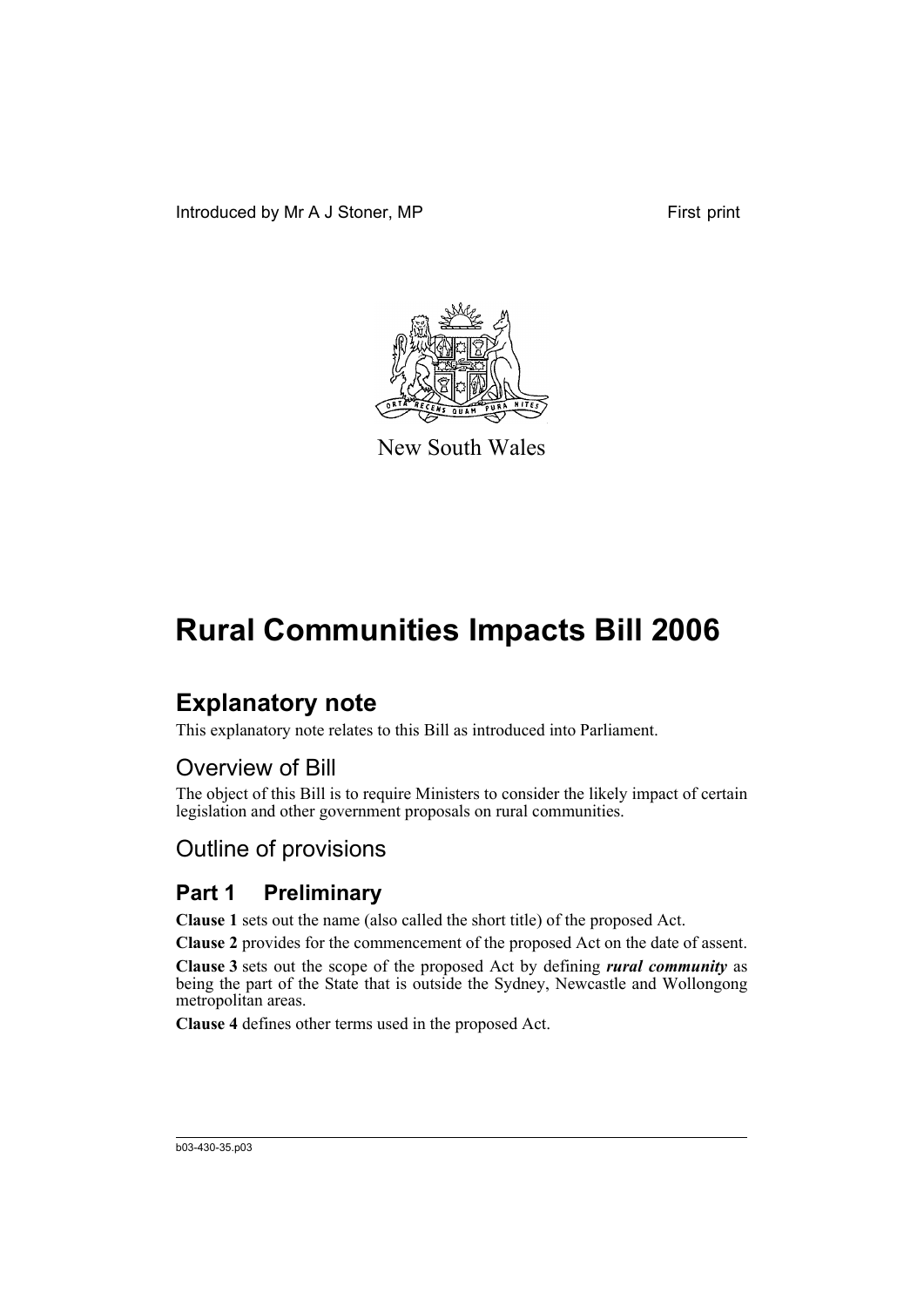Introduced by Mr A J Stoner, MP First print



New South Wales

# **Rural Communities Impacts Bill 2006**

# **Explanatory note**

This explanatory note relates to this Bill as introduced into Parliament.

## Overview of Bill

The object of this Bill is to require Ministers to consider the likely impact of certain legislation and other government proposals on rural communities.

# Outline of provisions

## **Part 1 Preliminary**

**Clause 1** sets out the name (also called the short title) of the proposed Act.

**Clause 2** provides for the commencement of the proposed Act on the date of assent.

**Clause 3** sets out the scope of the proposed Act by defining *rural community* as being the part of the State that is outside the Sydney, Newcastle and Wollongong metropolitan areas.

**Clause 4** defines other terms used in the proposed Act.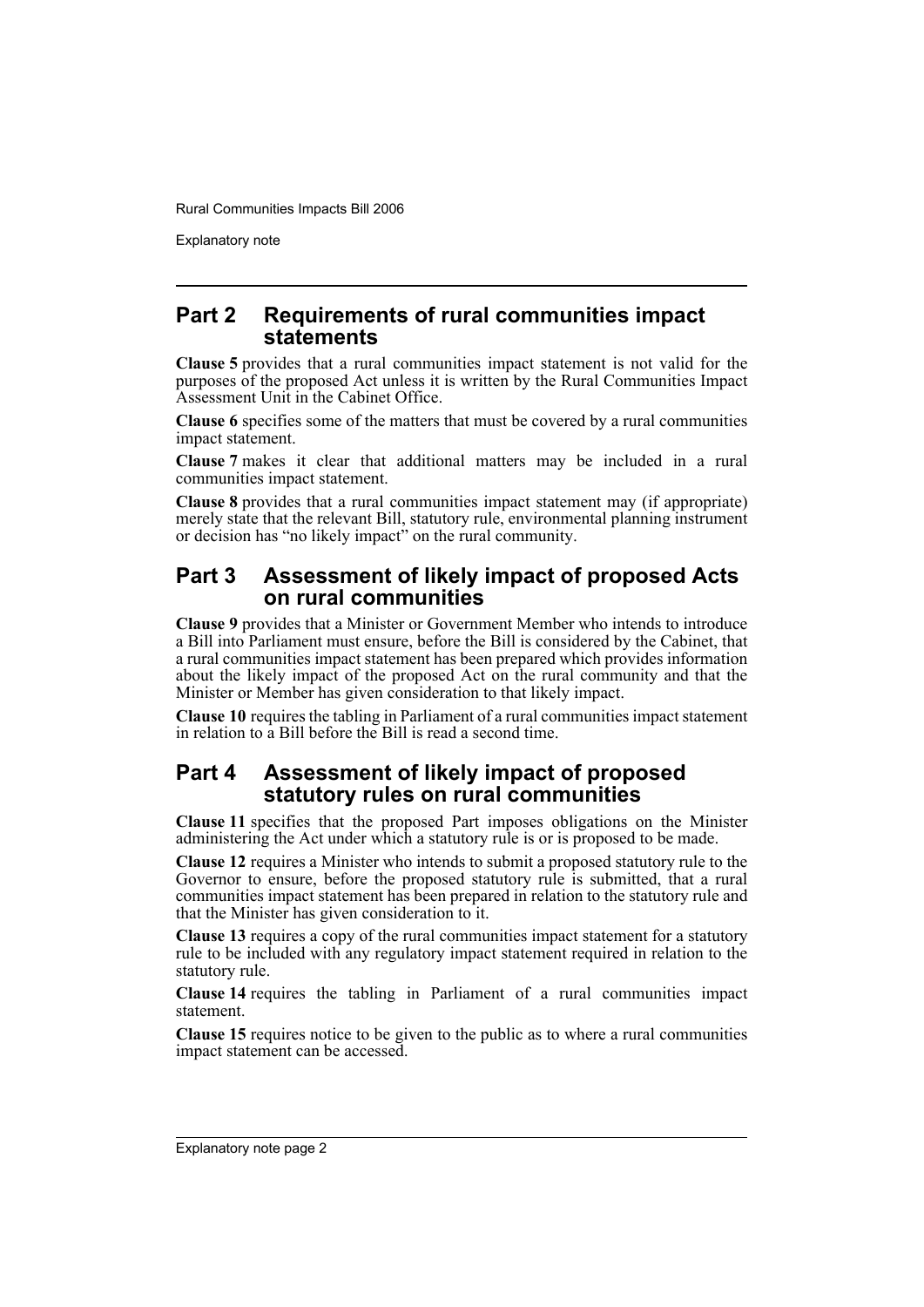Explanatory note

## **Part 2 Requirements of rural communities impact statements**

**Clause 5** provides that a rural communities impact statement is not valid for the purposes of the proposed Act unless it is written by the Rural Communities Impact Assessment Unit in the Cabinet Office.

**Clause 6** specifies some of the matters that must be covered by a rural communities impact statement.

**Clause 7** makes it clear that additional matters may be included in a rural communities impact statement.

**Clause 8** provides that a rural communities impact statement may (if appropriate) merely state that the relevant Bill, statutory rule, environmental planning instrument or decision has "no likely impact" on the rural community.

## **Part 3 Assessment of likely impact of proposed Acts on rural communities**

**Clause 9** provides that a Minister or Government Member who intends to introduce a Bill into Parliament must ensure, before the Bill is considered by the Cabinet, that a rural communities impact statement has been prepared which provides information about the likely impact of the proposed Act on the rural community and that the Minister or Member has given consideration to that likely impact.

**Clause 10** requires the tabling in Parliament of a rural communities impact statement in relation to a Bill before the Bill is read a second time.

## **Part 4 Assessment of likely impact of proposed statutory rules on rural communities**

**Clause 11** specifies that the proposed Part imposes obligations on the Minister administering the Act under which a statutory rule is or is proposed to be made.

**Clause 12** requires a Minister who intends to submit a proposed statutory rule to the Governor to ensure, before the proposed statutory rule is submitted, that a rural communities impact statement has been prepared in relation to the statutory rule and that the Minister has given consideration to it.

**Clause 13** requires a copy of the rural communities impact statement for a statutory rule to be included with any regulatory impact statement required in relation to the statutory rule.

**Clause 14** requires the tabling in Parliament of a rural communities impact statement.

**Clause 15** requires notice to be given to the public as to where a rural communities impact statement can be accessed.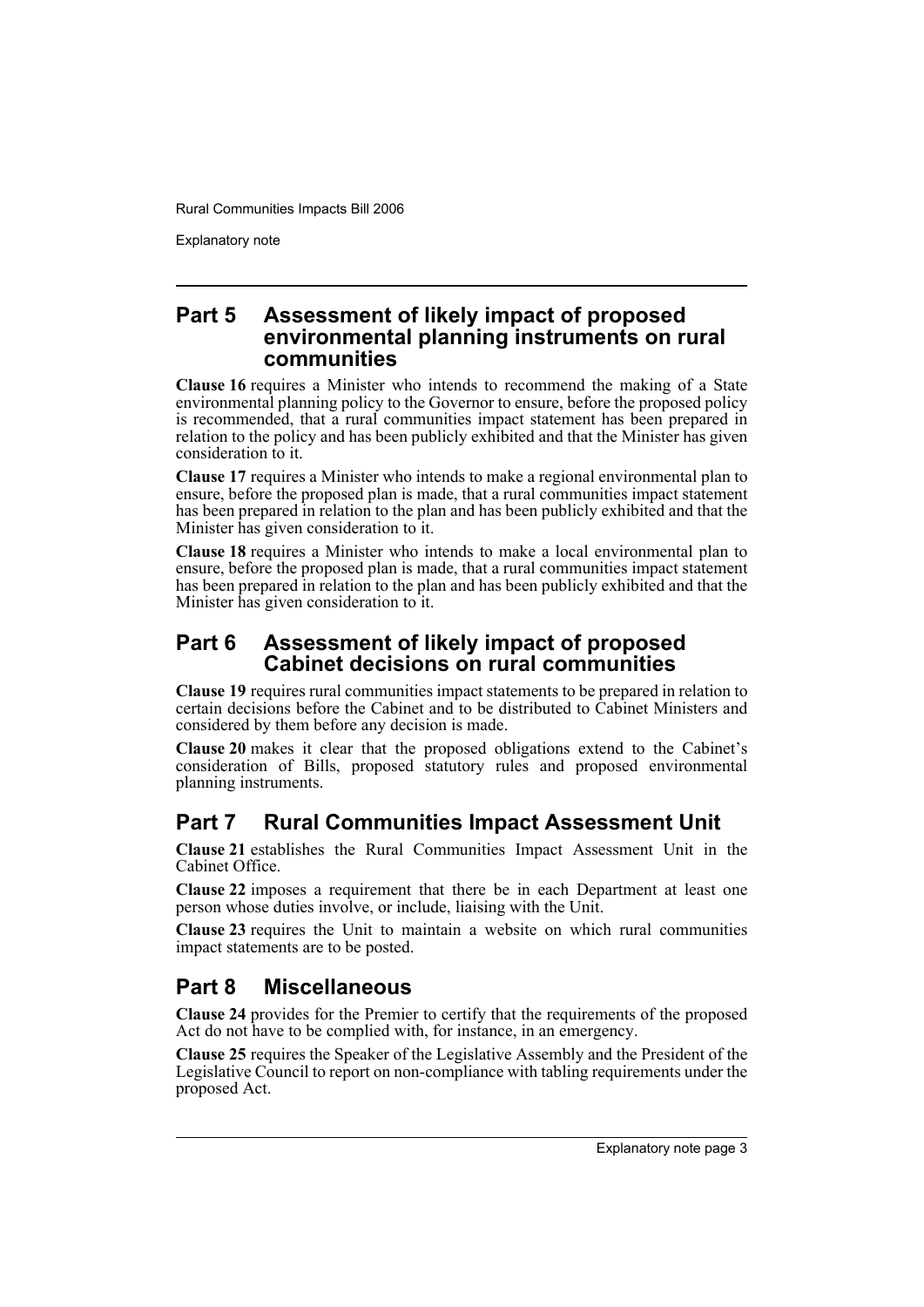Explanatory note

## **Part 5 Assessment of likely impact of proposed environmental planning instruments on rural communities**

**Clause 16** requires a Minister who intends to recommend the making of a State environmental planning policy to the Governor to ensure, before the proposed policy is recommended, that a rural communities impact statement has been prepared in relation to the policy and has been publicly exhibited and that the Minister has given consideration to it.

**Clause 17** requires a Minister who intends to make a regional environmental plan to ensure, before the proposed plan is made, that a rural communities impact statement has been prepared in relation to the plan and has been publicly exhibited and that the Minister has given consideration to it.

**Clause 18** requires a Minister who intends to make a local environmental plan to ensure, before the proposed plan is made, that a rural communities impact statement has been prepared in relation to the plan and has been publicly exhibited and that the Minister has given consideration to it.

## **Part 6 Assessment of likely impact of proposed Cabinet decisions on rural communities**

**Clause 19** requires rural communities impact statements to be prepared in relation to certain decisions before the Cabinet and to be distributed to Cabinet Ministers and considered by them before any decision is made.

**Clause 20** makes it clear that the proposed obligations extend to the Cabinet's consideration of Bills, proposed statutory rules and proposed environmental planning instruments.

## **Part 7 Rural Communities Impact Assessment Unit**

**Clause 21** establishes the Rural Communities Impact Assessment Unit in the Cabinet Office.

**Clause 22** imposes a requirement that there be in each Department at least one person whose duties involve, or include, liaising with the Unit.

**Clause 23** requires the Unit to maintain a website on which rural communities impact statements are to be posted.

# **Part 8 Miscellaneous**

**Clause 24** provides for the Premier to certify that the requirements of the proposed Act do not have to be complied with, for instance, in an emergency.

**Clause 25** requires the Speaker of the Legislative Assembly and the President of the Legislative Council to report on non-compliance with tabling requirements under the proposed Act.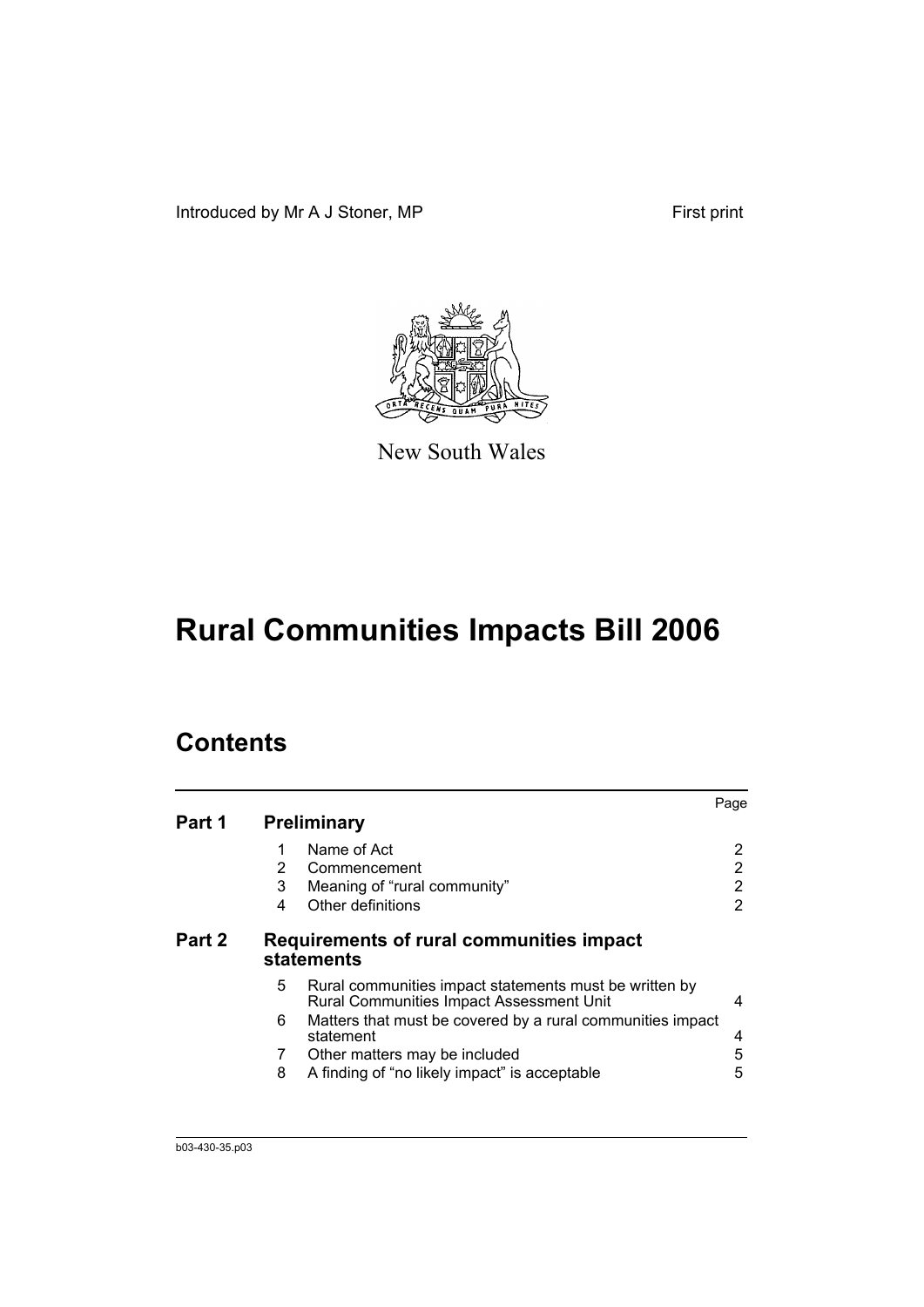Introduced by Mr A J Stoner, MP First print



New South Wales

# **Rural Communities Impacts Bill 2006**

# **Contents**

| Part 1 |                | <b>Preliminary</b>                                                                                 | Page |
|--------|----------------|----------------------------------------------------------------------------------------------------|------|
|        |                | Name of Act                                                                                        | 2    |
|        | $\overline{2}$ | Commencement                                                                                       | 2    |
|        | 3              | Meaning of "rural community"                                                                       | 2    |
|        | 4              | Other definitions                                                                                  | 2    |
| Part 2 |                | Requirements of rural communities impact<br><b>statements</b>                                      |      |
|        | 5.             | Rural communities impact statements must be written by<br>Rural Communities Impact Assessment Unit | 4    |
|        | 6.             | Matters that must be covered by a rural communities impact<br>statement                            | 4    |
|        | 7              | Other matters may be included                                                                      | 5    |
|        | 8              | A finding of "no likely impact" is acceptable                                                      | 5    |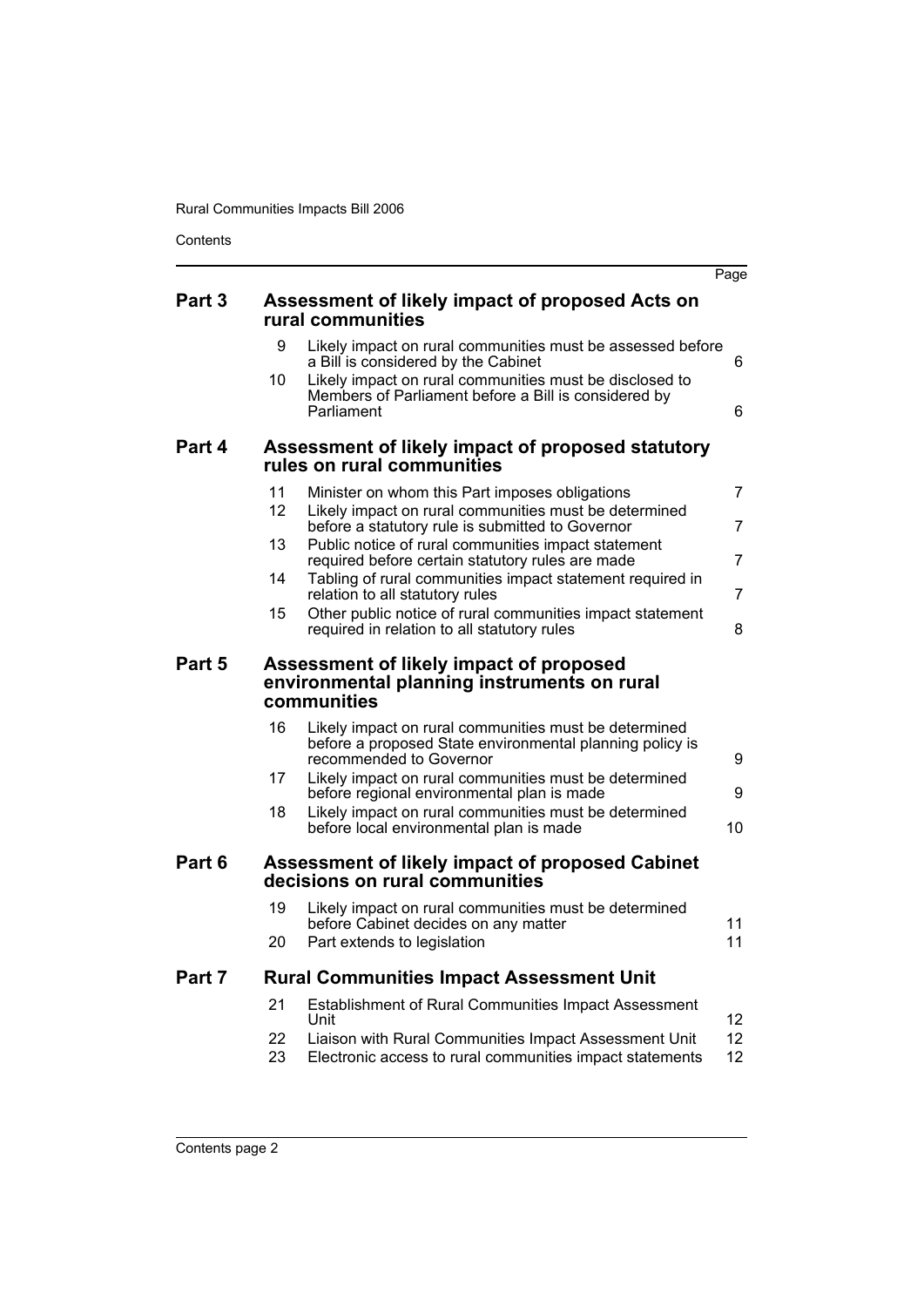Contents

|        |          |                                                                                                                                              | Page                  |
|--------|----------|----------------------------------------------------------------------------------------------------------------------------------------------|-----------------------|
| Part 3 |          | Assessment of likely impact of proposed Acts on<br>rural communities                                                                         |                       |
|        | 9        | Likely impact on rural communities must be assessed before<br>a Bill is considered by the Cabinet                                            | 6                     |
|        | 10       | Likely impact on rural communities must be disclosed to<br>Members of Parliament before a Bill is considered by<br>Parliament                | 6                     |
| Part 4 |          | Assessment of likely impact of proposed statutory<br>rules on rural communities                                                              |                       |
|        | 11<br>12 | Minister on whom this Part imposes obligations<br>Likely impact on rural communities must be determined                                      | 7                     |
|        |          | before a statutory rule is submitted to Governor                                                                                             | $\overline{7}$        |
|        | 13       | Public notice of rural communities impact statement<br>required before certain statutory rules are made                                      | 7                     |
|        | 14       | Tabling of rural communities impact statement required in<br>relation to all statutory rules                                                 | $\overline{7}$        |
|        | 15       | Other public notice of rural communities impact statement<br>required in relation to all statutory rules                                     | 8                     |
| Part 5 |          | Assessment of likely impact of proposed<br>environmental planning instruments on rural<br>communities                                        |                       |
|        | 16       | Likely impact on rural communities must be determined<br>before a proposed State environmental planning policy is<br>recommended to Governor | 9                     |
|        | 17       | Likely impact on rural communities must be determined<br>before regional environmental plan is made                                          | 9                     |
|        | 18       | Likely impact on rural communities must be determined<br>before local environmental plan is made                                             | 10                    |
| Part 6 |          | Assessment of likely impact of proposed Cabinet<br>decisions on rural communities                                                            |                       |
|        | 19       | Likely impact on rural communities must be determined<br>before Cabinet decides on any matter                                                | 11                    |
|        | 20       | Part extends to legislation                                                                                                                  | 11                    |
| Part 7 |          | <b>Rural Communities Impact Assessment Unit</b>                                                                                              |                       |
|        | 21       | Establishment of Rural Communities Impact Assessment<br>Unit                                                                                 | 12                    |
|        | 22<br>23 | Liaison with Rural Communities Impact Assessment Unit<br>Electronic access to rural communities impact statements                            | 12 <sup>2</sup><br>12 |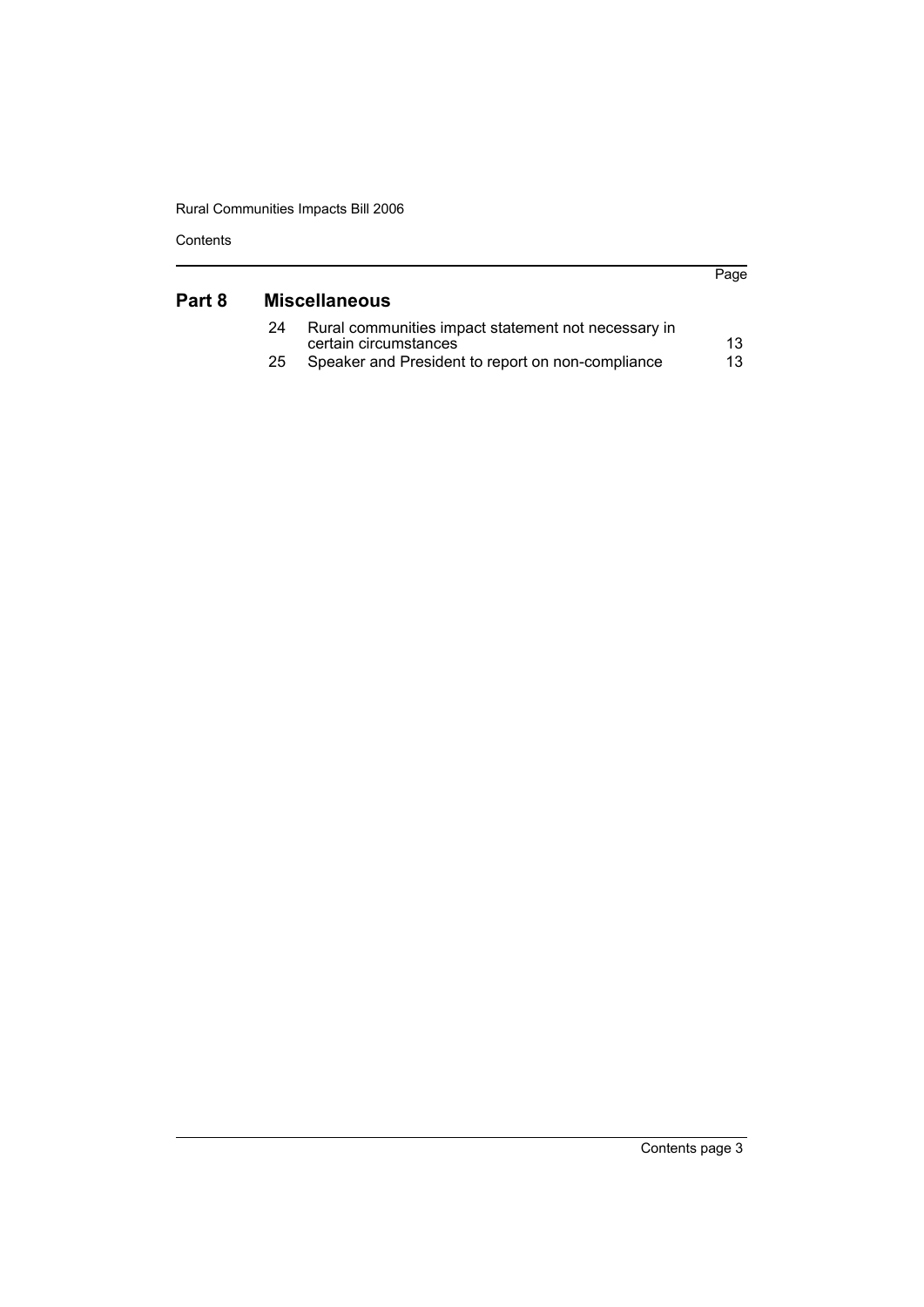| Contents |  |
|----------|--|
|----------|--|

| Part 8 |    | <b>Miscellaneous</b>                                                         | Page |
|--------|----|------------------------------------------------------------------------------|------|
|        | 24 | Rural communities impact statement not necessary in<br>certain circumstances | 13   |
|        | 25 | Speaker and President to report on non-compliance                            | 13   |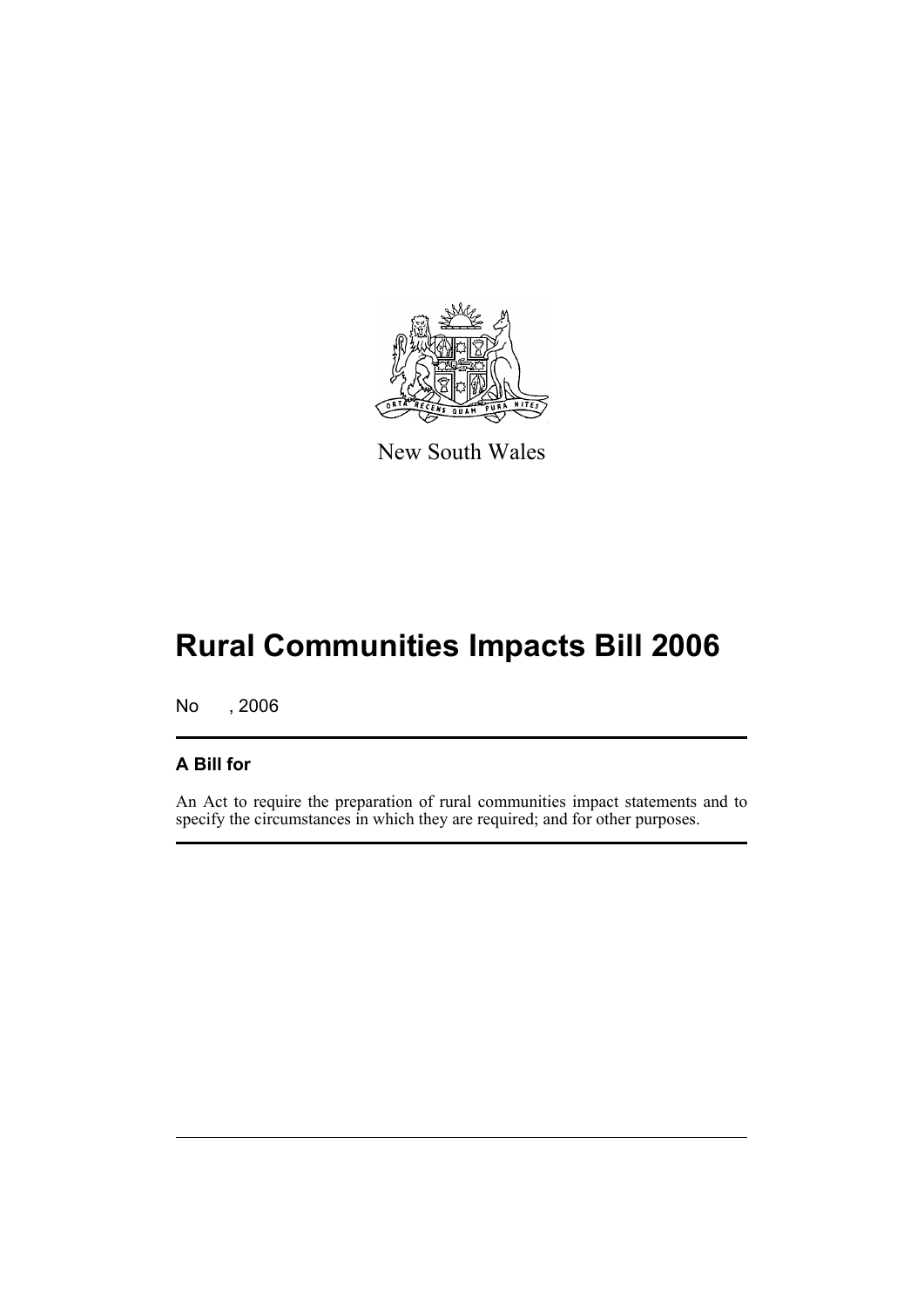

New South Wales

# **Rural Communities Impacts Bill 2006**

No , 2006

## **A Bill for**

An Act to require the preparation of rural communities impact statements and to specify the circumstances in which they are required; and for other purposes.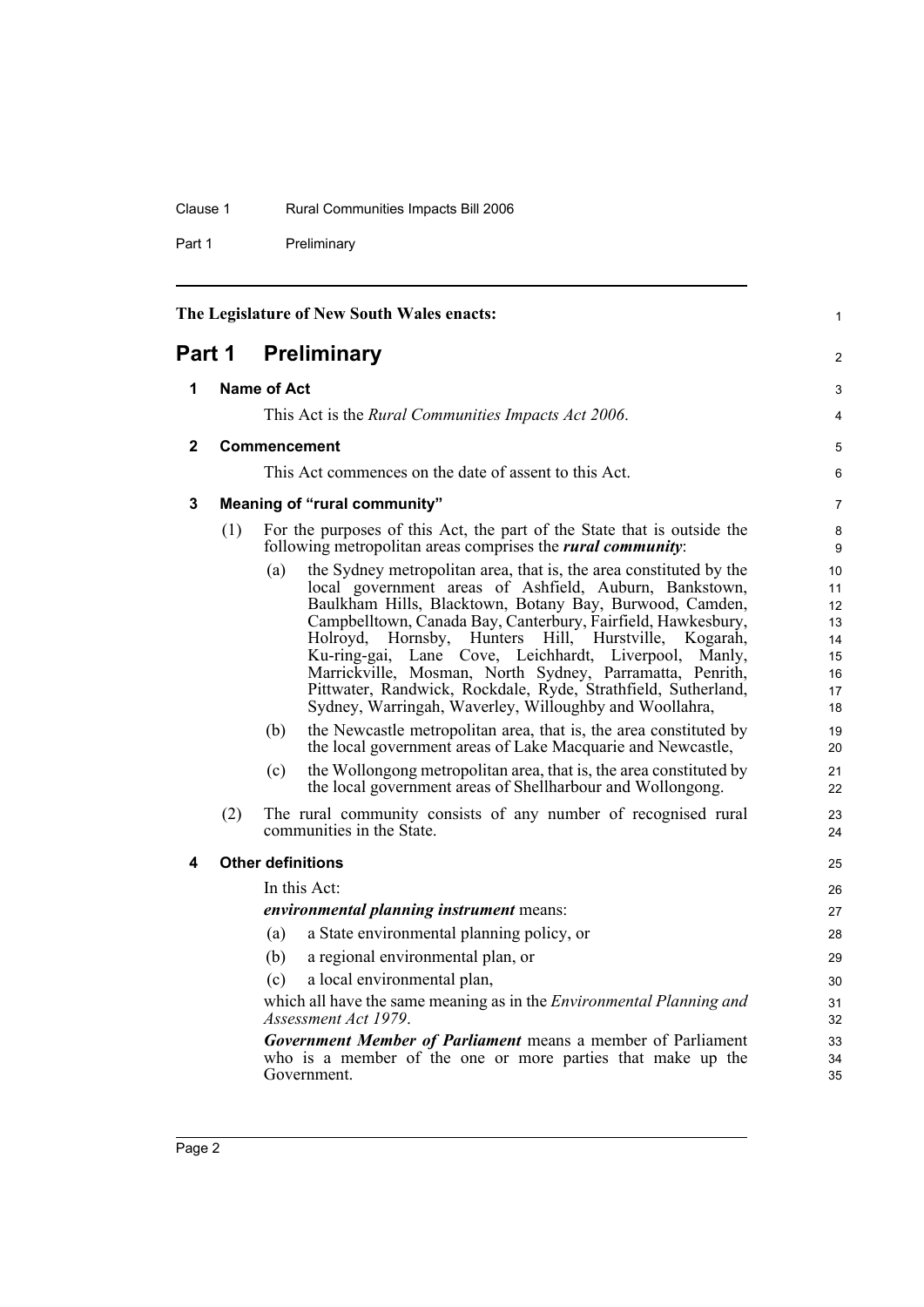#### Clause 1 Rural Communities Impacts Bill 2006

Part 1 Preliminary

<span id="page-9-4"></span><span id="page-9-3"></span><span id="page-9-2"></span><span id="page-9-1"></span><span id="page-9-0"></span>

| The Legislature of New South Wales enacts: |     |                                                                                                                                                                                                                                                                                                                                                                                                                                                                                                                                                                                 | $\mathbf{1}$                                       |
|--------------------------------------------|-----|---------------------------------------------------------------------------------------------------------------------------------------------------------------------------------------------------------------------------------------------------------------------------------------------------------------------------------------------------------------------------------------------------------------------------------------------------------------------------------------------------------------------------------------------------------------------------------|----------------------------------------------------|
| <b>Preliminary</b><br>Part 1               |     |                                                                                                                                                                                                                                                                                                                                                                                                                                                                                                                                                                                 | $\overline{2}$                                     |
| 1                                          |     | Name of Act                                                                                                                                                                                                                                                                                                                                                                                                                                                                                                                                                                     |                                                    |
|                                            |     | This Act is the <i>Rural Communities Impacts Act 2006</i> .                                                                                                                                                                                                                                                                                                                                                                                                                                                                                                                     | 3<br>$\overline{4}$                                |
| $\mathbf{2}$                               |     | <b>Commencement</b>                                                                                                                                                                                                                                                                                                                                                                                                                                                                                                                                                             | 5                                                  |
|                                            |     | This Act commences on the date of assent to this Act.                                                                                                                                                                                                                                                                                                                                                                                                                                                                                                                           | 6                                                  |
| 3                                          |     | <b>Meaning of "rural community"</b>                                                                                                                                                                                                                                                                                                                                                                                                                                                                                                                                             | $\overline{7}$                                     |
|                                            | (1) | For the purposes of this Act, the part of the State that is outside the<br>following metropolitan areas comprises the <i>rural community</i> .                                                                                                                                                                                                                                                                                                                                                                                                                                  | 8<br>9                                             |
|                                            |     | the Sydney metropolitan area, that is, the area constituted by the<br>(a)<br>local government areas of Ashfield, Auburn, Bankstown,<br>Baulkham Hills, Blacktown, Botany Bay, Burwood, Camden,<br>Campbelltown, Canada Bay, Canterbury, Fairfield, Hawkesbury,<br>Holroyd, Hornsby, Hunters Hill, Hurstville,<br>Kogarah,<br>Lane Cove, Leichhardt, Liverpool,<br>Ku-ring-gai,<br>Manly,<br>Marrickville, Mosman, North Sydney, Parramatta, Penrith,<br>Pittwater, Randwick, Rockdale, Ryde, Strathfield, Sutherland,<br>Sydney, Warringah, Waverley, Willoughby and Woollahra, | 10<br>11<br>12<br>13<br>14<br>15<br>16<br>17<br>18 |
|                                            |     | the Newcastle metropolitan area, that is, the area constituted by<br>(b)<br>the local government areas of Lake Macquarie and Newcastle,                                                                                                                                                                                                                                                                                                                                                                                                                                         | 19<br>20                                           |
|                                            |     | the Wollongong metropolitan area, that is, the area constituted by<br>(c)<br>the local government areas of Shellharbour and Wollongong.                                                                                                                                                                                                                                                                                                                                                                                                                                         | 21<br>22                                           |
|                                            | (2) | The rural community consists of any number of recognised rural<br>communities in the State.                                                                                                                                                                                                                                                                                                                                                                                                                                                                                     | 23<br>24                                           |
| 4                                          |     | <b>Other definitions</b>                                                                                                                                                                                                                                                                                                                                                                                                                                                                                                                                                        | 25                                                 |
|                                            |     | In this Act:                                                                                                                                                                                                                                                                                                                                                                                                                                                                                                                                                                    | 26                                                 |
|                                            |     | environmental planning instrument means:                                                                                                                                                                                                                                                                                                                                                                                                                                                                                                                                        | 27                                                 |
|                                            |     | a State environmental planning policy, or<br>(a)                                                                                                                                                                                                                                                                                                                                                                                                                                                                                                                                | 28                                                 |
|                                            |     | a regional environmental plan, or<br>(b)                                                                                                                                                                                                                                                                                                                                                                                                                                                                                                                                        | 29                                                 |
|                                            |     | a local environmental plan,<br>(c)                                                                                                                                                                                                                                                                                                                                                                                                                                                                                                                                              | 30                                                 |
|                                            |     | which all have the same meaning as in the <i>Environmental Planning and</i><br>Assessment Act 1979.                                                                                                                                                                                                                                                                                                                                                                                                                                                                             | 31<br>32                                           |
|                                            |     | <b>Government Member of Parliament</b> means a member of Parliament<br>who is a member of the one or more parties that make up the<br>Government.                                                                                                                                                                                                                                                                                                                                                                                                                               | 33<br>34<br>35                                     |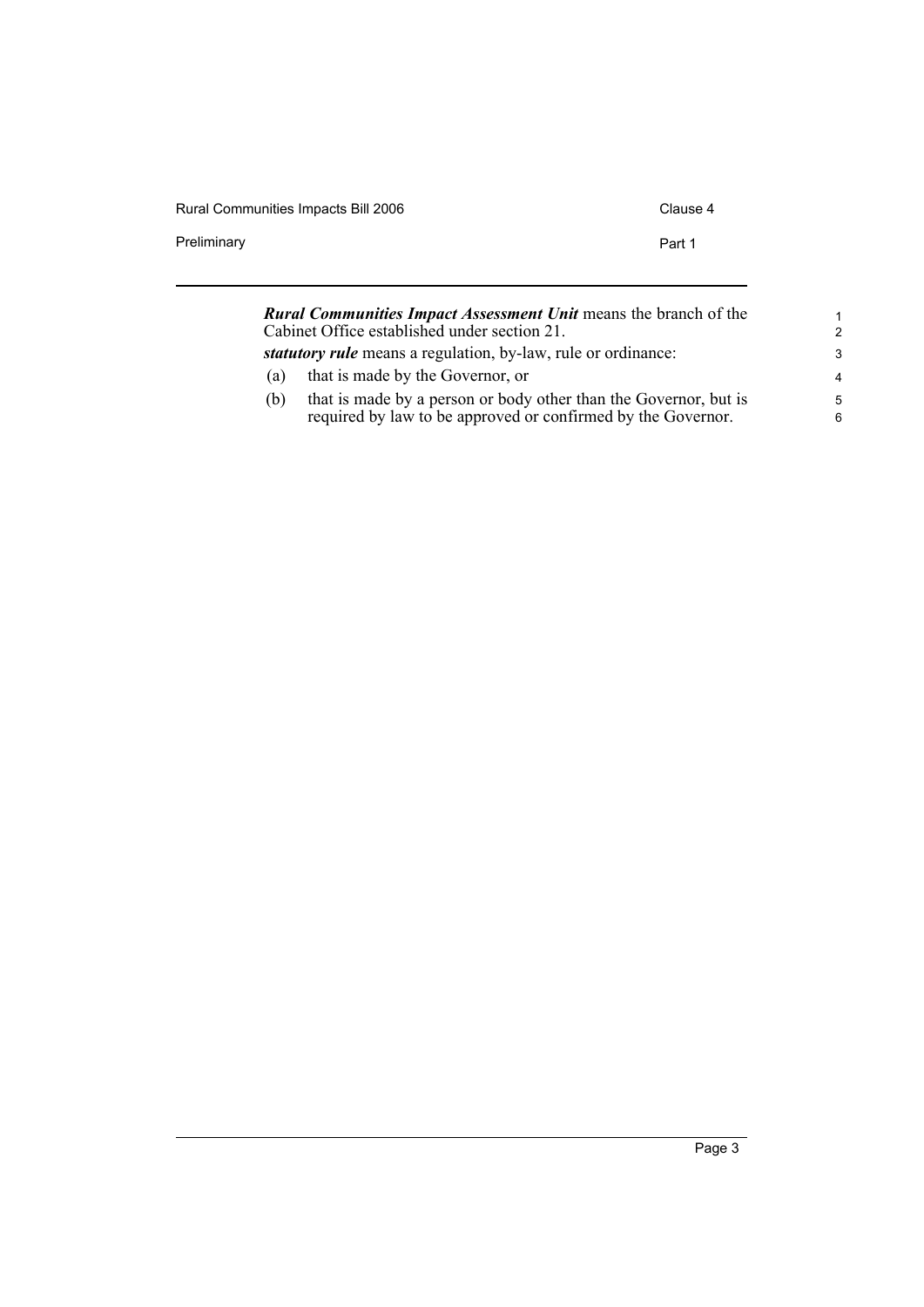| <b>Rural Communities Impacts Bill 2006</b> | Clause 4 |
|--------------------------------------------|----------|
| Preliminary                                | Part 1   |
|                                            |          |

| <b>Rural Communities Impact Assessment Unit means the branch of the</b><br>Cabinet Office established under section 21. |                                                                                                                                  | 1<br>$\mathcal{P}$ |
|-------------------------------------------------------------------------------------------------------------------------|----------------------------------------------------------------------------------------------------------------------------------|--------------------|
|                                                                                                                         | statutory rule means a regulation, by-law, rule or ordinance:                                                                    | 3                  |
| (a)                                                                                                                     | that is made by the Governor, or                                                                                                 | 4                  |
| (b)                                                                                                                     | that is made by a person or body other than the Governor, but is<br>required by law to be approved or confirmed by the Governor. | 5<br>6             |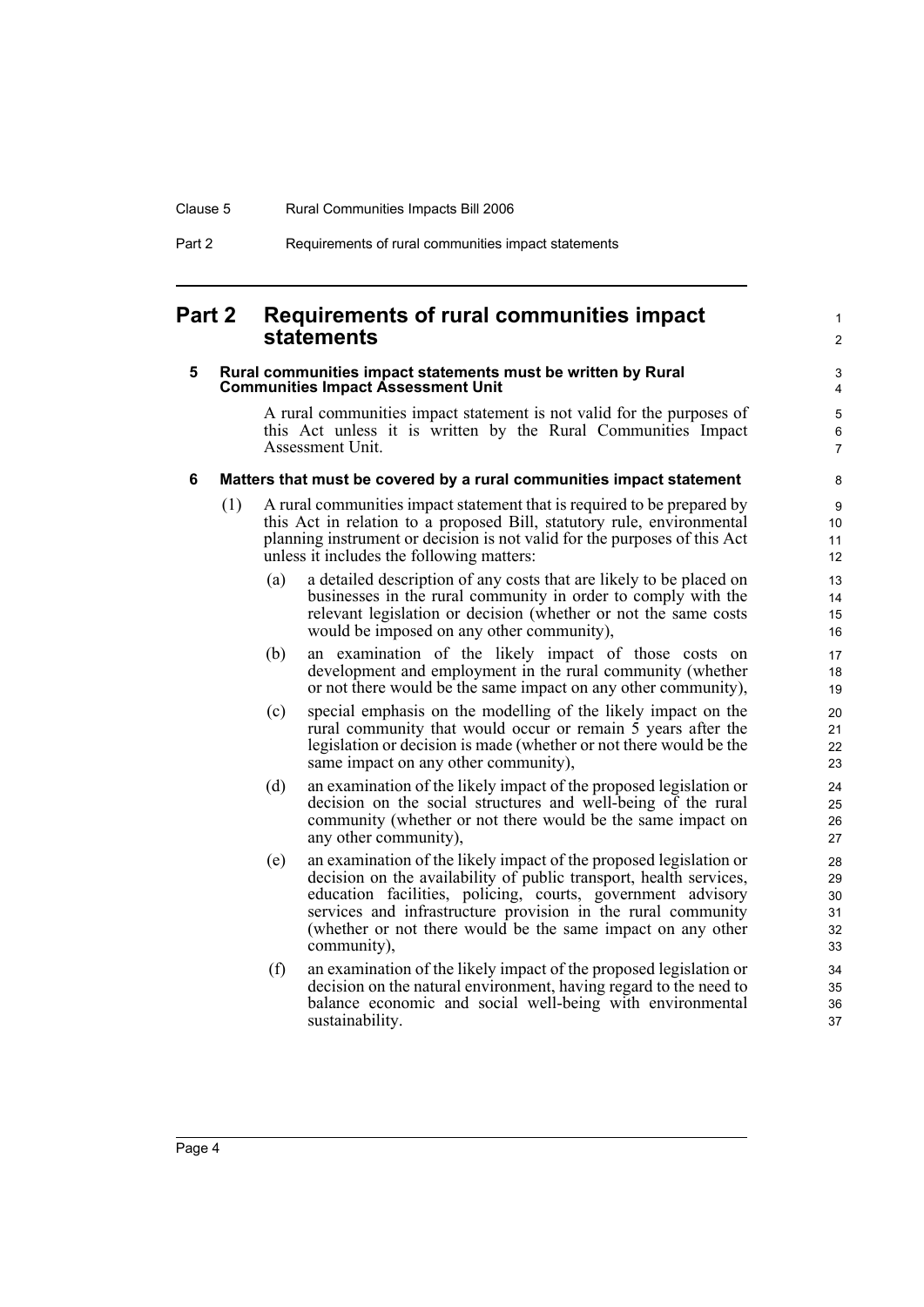## <span id="page-11-0"></span>**Part 2 Requirements of rural communities impact statements**

#### <span id="page-11-1"></span>**5 Rural communities impact statements must be written by Rural Communities Impact Assessment Unit**

A rural communities impact statement is not valid for the purposes of this Act unless it is written by the Rural Communities Impact Assessment Unit.

1  $\mathfrak{p}$ 

#### <span id="page-11-2"></span>**6 Matters that must be covered by a rural communities impact statement**

- (1) A rural communities impact statement that is required to be prepared by this Act in relation to a proposed Bill, statutory rule, environmental planning instrument or decision is not valid for the purposes of this Act unless it includes the following matters:
	- (a) a detailed description of any costs that are likely to be placed on businesses in the rural community in order to comply with the relevant legislation or decision (whether or not the same costs would be imposed on any other community),
	- (b) an examination of the likely impact of those costs on development and employment in the rural community (whether or not there would be the same impact on any other community),
	- (c) special emphasis on the modelling of the likely impact on the rural community that would occur or remain 5 years after the legislation or decision is made (whether or not there would be the same impact on any other community),
	- (d) an examination of the likely impact of the proposed legislation or decision on the social structures and well-being of the rural community (whether or not there would be the same impact on any other community),
	- (e) an examination of the likely impact of the proposed legislation or decision on the availability of public transport, health services, education facilities, policing, courts, government advisory services and infrastructure provision in the rural community (whether or not there would be the same impact on any other community),
	- (f) an examination of the likely impact of the proposed legislation or decision on the natural environment, having regard to the need to balance economic and social well-being with environmental sustainability.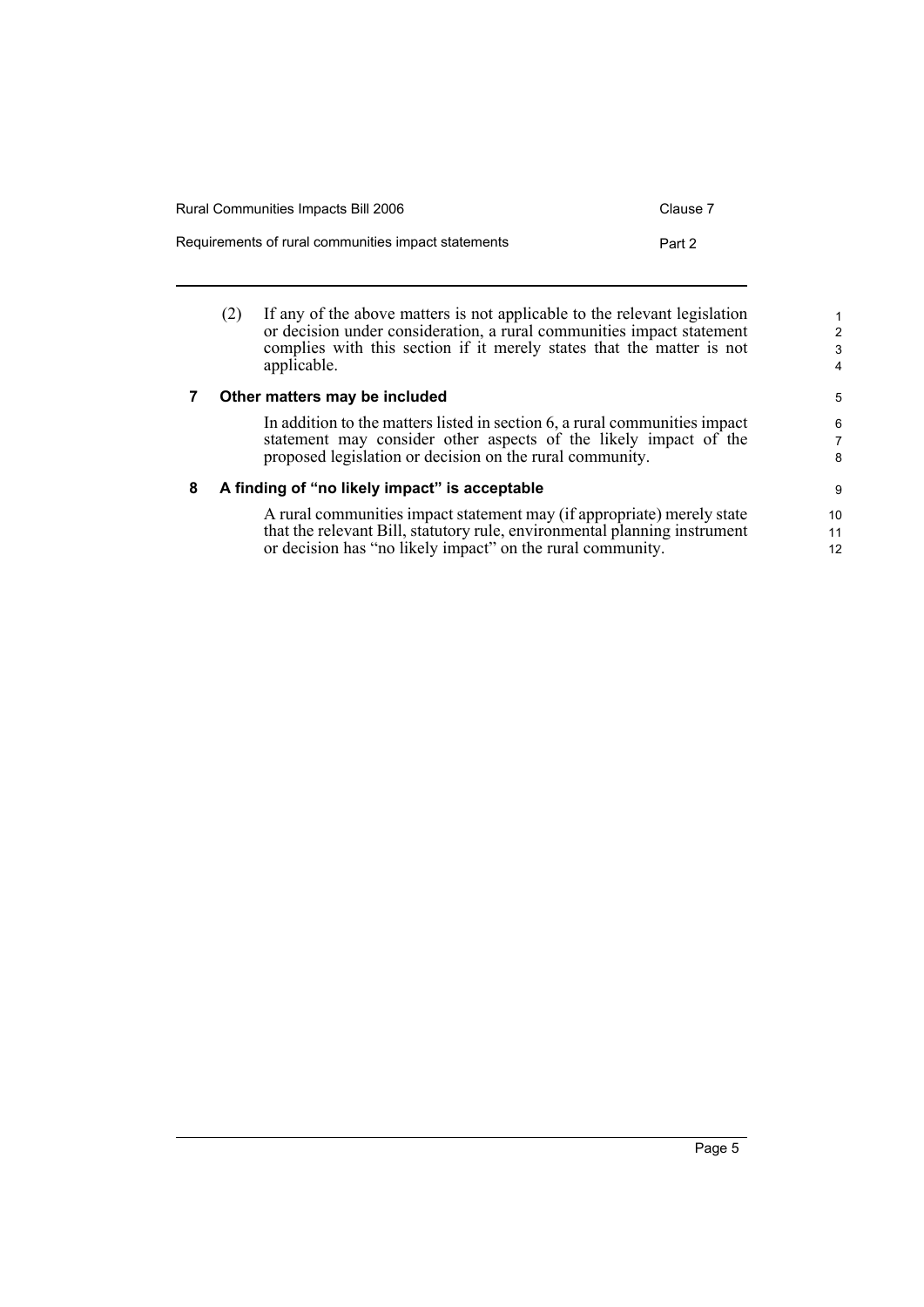| Rural Communities Impacts Bill 2006                 | Clause 7 |
|-----------------------------------------------------|----------|
| Requirements of rural communities impact statements | Part 2   |

(2) If any of the above matters is not applicable to the relevant legislation or decision under consideration, a rural communities impact statement complies with this section if it merely states that the matter is not applicable.

#### <span id="page-12-0"></span>**7 Other matters may be included**

In addition to the matters listed in section 6, a rural communities impact statement may consider other aspects of the likely impact of the proposed legislation or decision on the rural community.

#### <span id="page-12-1"></span>**8 A finding of "no likely impact" is acceptable**

A rural communities impact statement may (if appropriate) merely state that the relevant Bill, statutory rule, environmental planning instrument or decision has "no likely impact" on the rural community.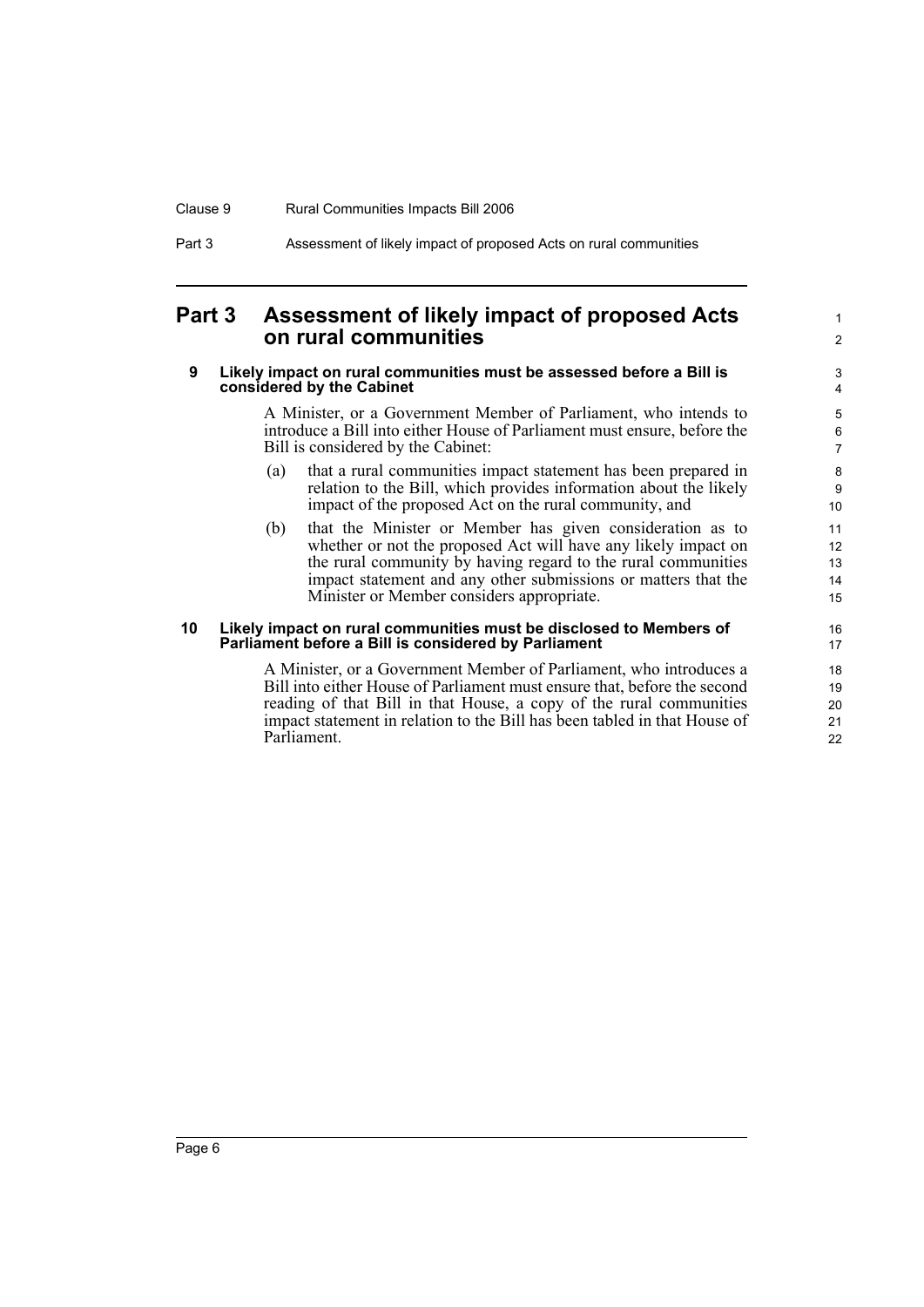### Clause 9 Rural Communities Impacts Bill 2006

Part 3 Assessment of likely impact of proposed Acts on rural communities

## <span id="page-13-0"></span>**Part 3 Assessment of likely impact of proposed Acts on rural communities**

#### <span id="page-13-1"></span>**9 Likely impact on rural communities must be assessed before a Bill is considered by the Cabinet**

A Minister, or a Government Member of Parliament, who intends to introduce a Bill into either House of Parliament must ensure, before the Bill is considered by the Cabinet:

1 2

- (a) that a rural communities impact statement has been prepared in relation to the Bill, which provides information about the likely impact of the proposed Act on the rural community, and
- (b) that the Minister or Member has given consideration as to whether or not the proposed Act will have any likely impact on the rural community by having regard to the rural communities impact statement and any other submissions or matters that the Minister or Member considers appropriate.

#### <span id="page-13-2"></span>**10 Likely impact on rural communities must be disclosed to Members of Parliament before a Bill is considered by Parliament**

A Minister, or a Government Member of Parliament, who introduces a Bill into either House of Parliament must ensure that, before the second reading of that Bill in that House, a copy of the rural communities impact statement in relation to the Bill has been tabled in that House of Parliament.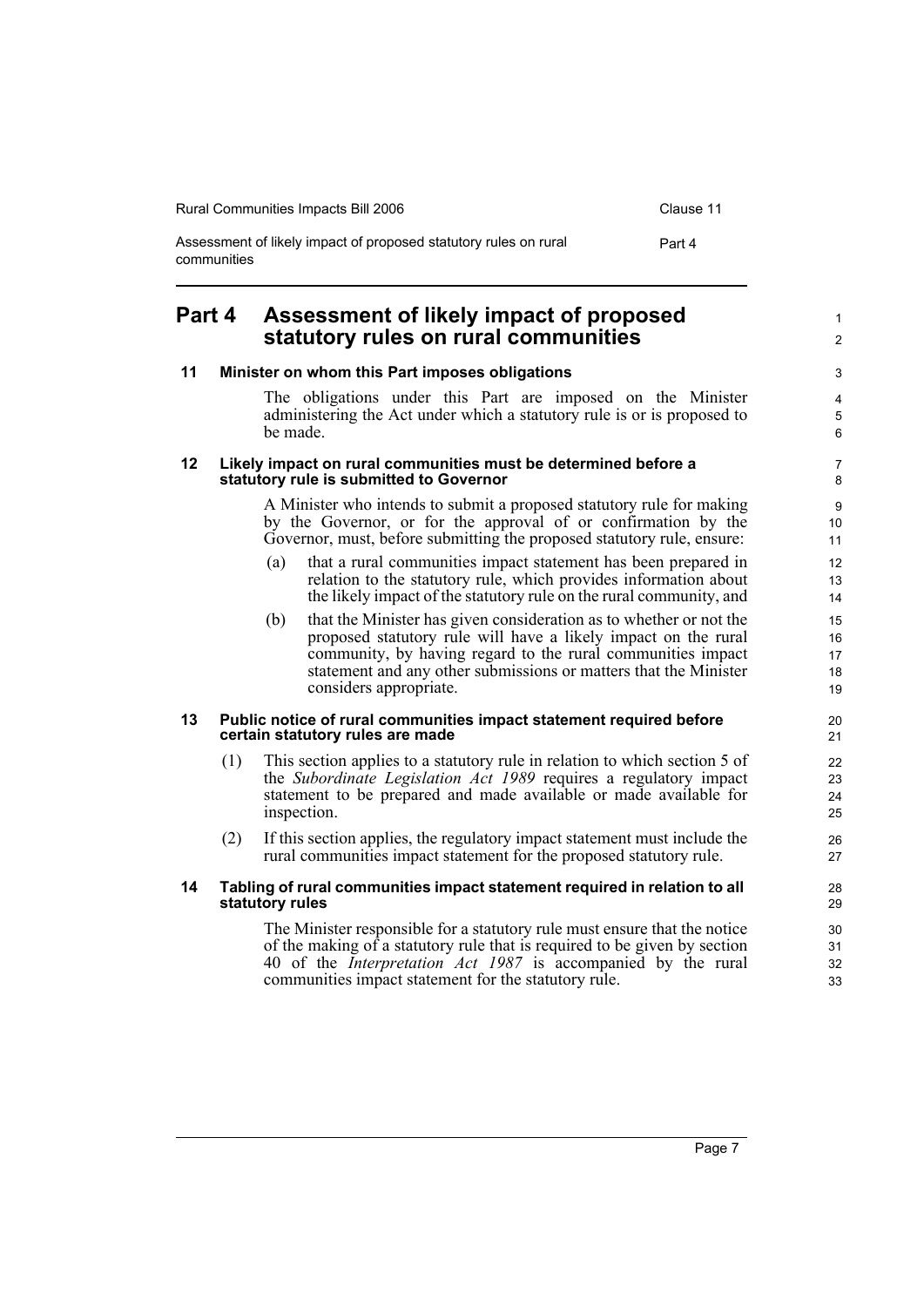| <b>Rural Communities Impacts Bill 2006</b>                                      | Clause 11 |
|---------------------------------------------------------------------------------|-----------|
| Assessment of likely impact of proposed statutory rules on rural<br>communities | Part 4    |

## <span id="page-14-0"></span>**Part 4 Assessment of likely impact of proposed statutory rules on rural communities**

#### <span id="page-14-4"></span><span id="page-14-3"></span><span id="page-14-2"></span><span id="page-14-1"></span>**11 Minister on whom this Part imposes obligations** The obligations under this Part are imposed on the Minister administering the Act under which a statutory rule is or is proposed to be made. **12 Likely impact on rural communities must be determined before a statutory rule is submitted to Governor** A Minister who intends to submit a proposed statutory rule for making by the Governor, or for the approval of or confirmation by the Governor, must, before submitting the proposed statutory rule, ensure: (a) that a rural communities impact statement has been prepared in relation to the statutory rule, which provides information about the likely impact of the statutory rule on the rural community, and (b) that the Minister has given consideration as to whether or not the proposed statutory rule will have a likely impact on the rural community, by having regard to the rural communities impact statement and any other submissions or matters that the Minister considers appropriate. **13 Public notice of rural communities impact statement required before certain statutory rules are made** (1) This section applies to a statutory rule in relation to which section 5 of the *Subordinate Legislation Act 1989* requires a regulatory impact statement to be prepared and made available or made available for inspection. (2) If this section applies, the regulatory impact statement must include the rural communities impact statement for the proposed statutory rule. **14 Tabling of rural communities impact statement required in relation to all statutory rules** The Minister responsible for a statutory rule must ensure that the notice of the making of a statutory rule that is required to be given by section 40 of the *Interpretation Act 1987* is accompanied by the rural communities impact statement for the statutory rule. 3 4 5 6 7 8  $\alpha$ 10 11 12 13 14 15 16 17 18 19 20 21 22 23 24 25 26 27 28 29 30 31 32 33

1  $\mathfrak{p}$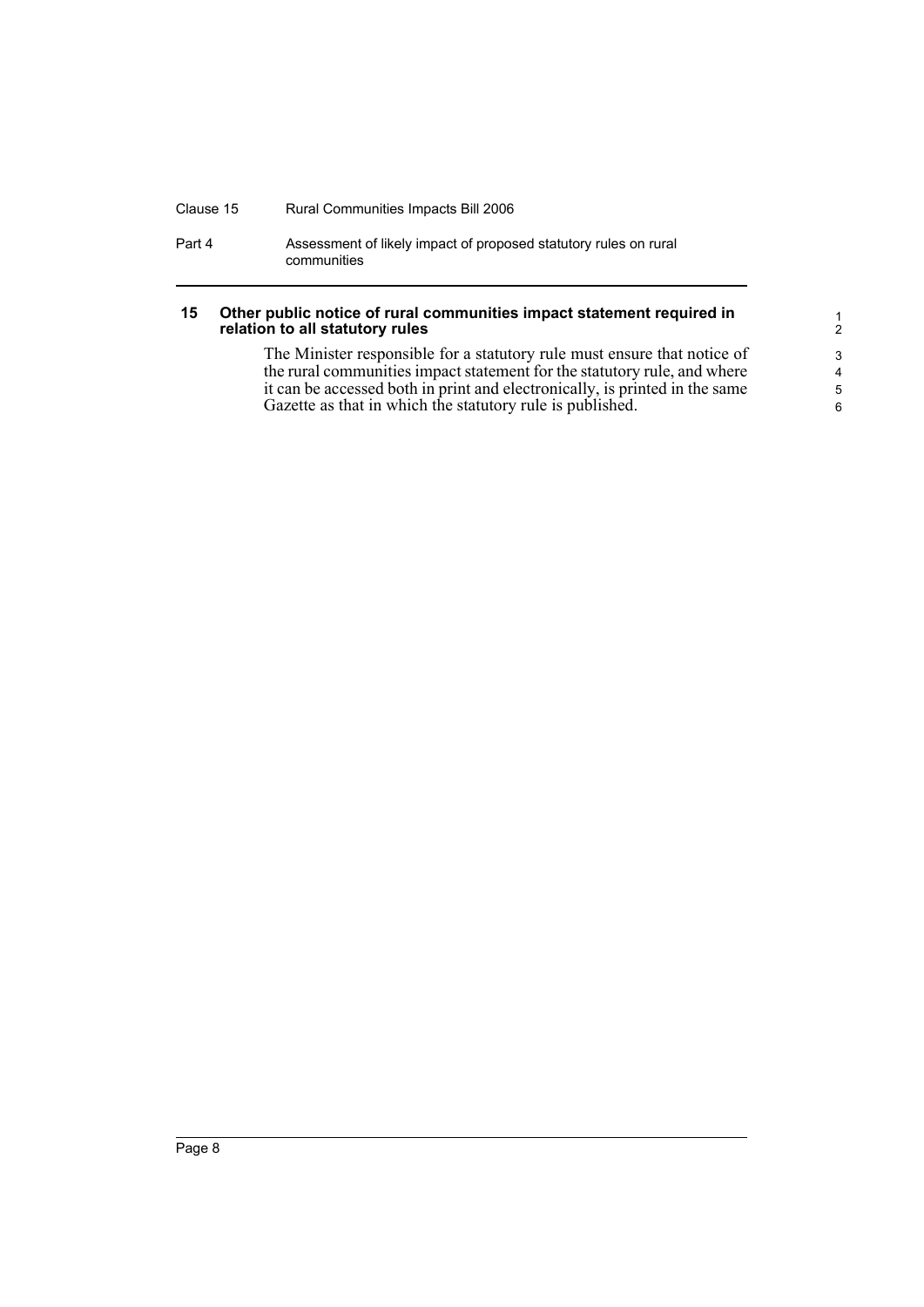#### Clause 15 Rural Communities Impacts Bill 2006

Part 4 Assessment of likely impact of proposed statutory rules on rural communities

#### <span id="page-15-0"></span>**15 Other public notice of rural communities impact statement required in relation to all statutory rules**

The Minister responsible for a statutory rule must ensure that notice of the rural communities impact statement for the statutory rule, and where it can be accessed both in print and electronically, is printed in the same Gazette as that in which the statutory rule is published.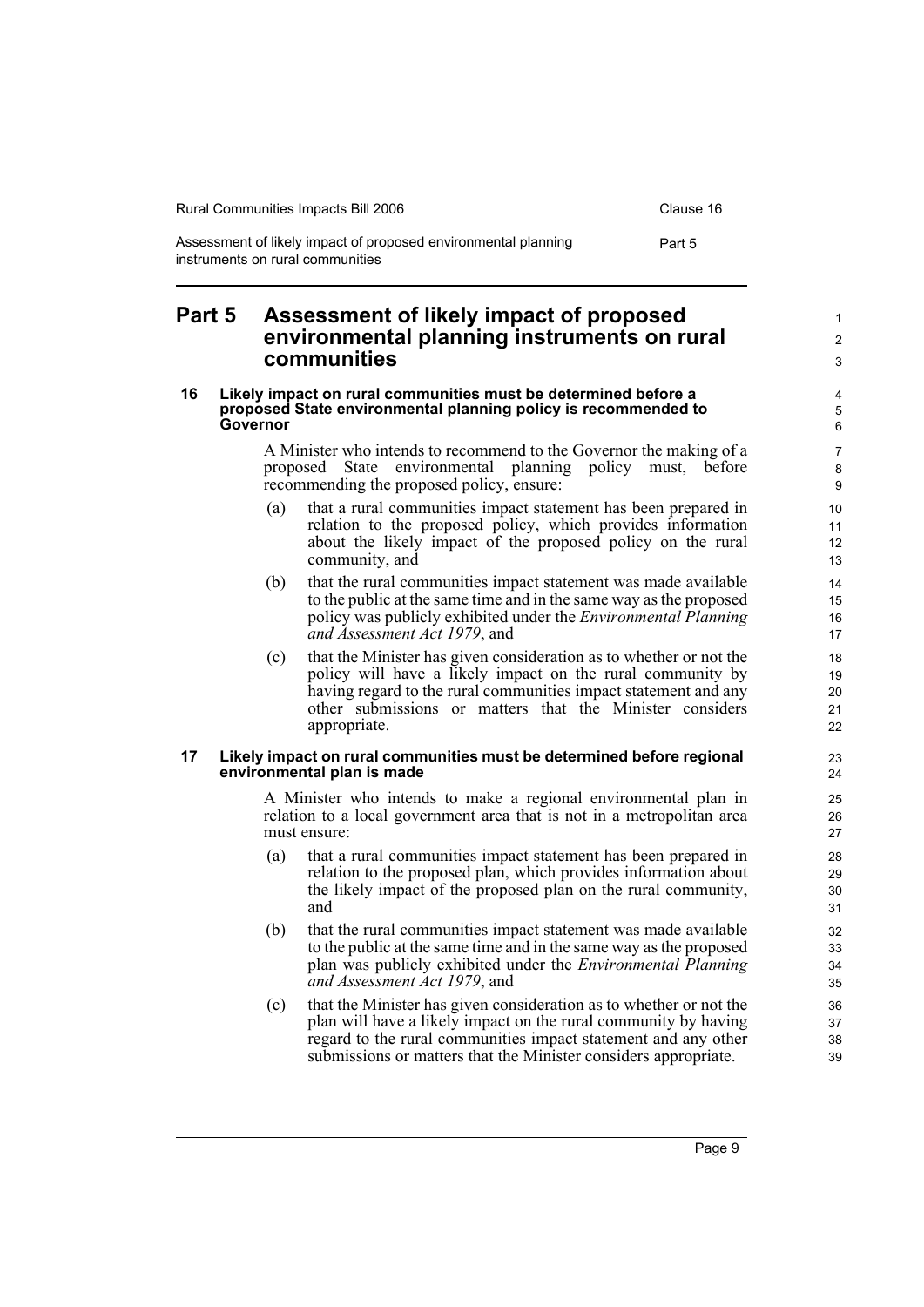| Rural Communities Impacts Bill 2006                                                                | Clause 16 |
|----------------------------------------------------------------------------------------------------|-----------|
| Assessment of likely impact of proposed environmental planning<br>instruments on rural communities | Part 5    |

## <span id="page-16-0"></span>**Part 5 Assessment of likely impact of proposed environmental planning instruments on rural communities**

#### <span id="page-16-1"></span>**16 Likely impact on rural communities must be determined before a proposed State environmental planning policy is recommended to Governor**

A Minister who intends to recommend to the Governor the making of a proposed State environmental planning policy must, before recommending the proposed policy, ensure:

- (a) that a rural communities impact statement has been prepared in relation to the proposed policy, which provides information about the likely impact of the proposed policy on the rural community, and
- (b) that the rural communities impact statement was made available to the public at the same time and in the same way as the proposed policy was publicly exhibited under the *Environmental Planning and Assessment Act 1979*, and
- (c) that the Minister has given consideration as to whether or not the policy will have a likely impact on the rural community by having regard to the rural communities impact statement and any other submissions or matters that the Minister considers appropriate.

#### <span id="page-16-2"></span>**17 Likely impact on rural communities must be determined before regional environmental plan is made**

A Minister who intends to make a regional environmental plan in relation to a local government area that is not in a metropolitan area must ensure:

- (a) that a rural communities impact statement has been prepared in relation to the proposed plan, which provides information about the likely impact of the proposed plan on the rural community, and
- (b) that the rural communities impact statement was made available to the public at the same time and in the same way as the proposed plan was publicly exhibited under the *Environmental Planning and Assessment Act 1979*, and
- (c) that the Minister has given consideration as to whether or not the plan will have a likely impact on the rural community by having regard to the rural communities impact statement and any other submissions or matters that the Minister considers appropriate.

1 2 3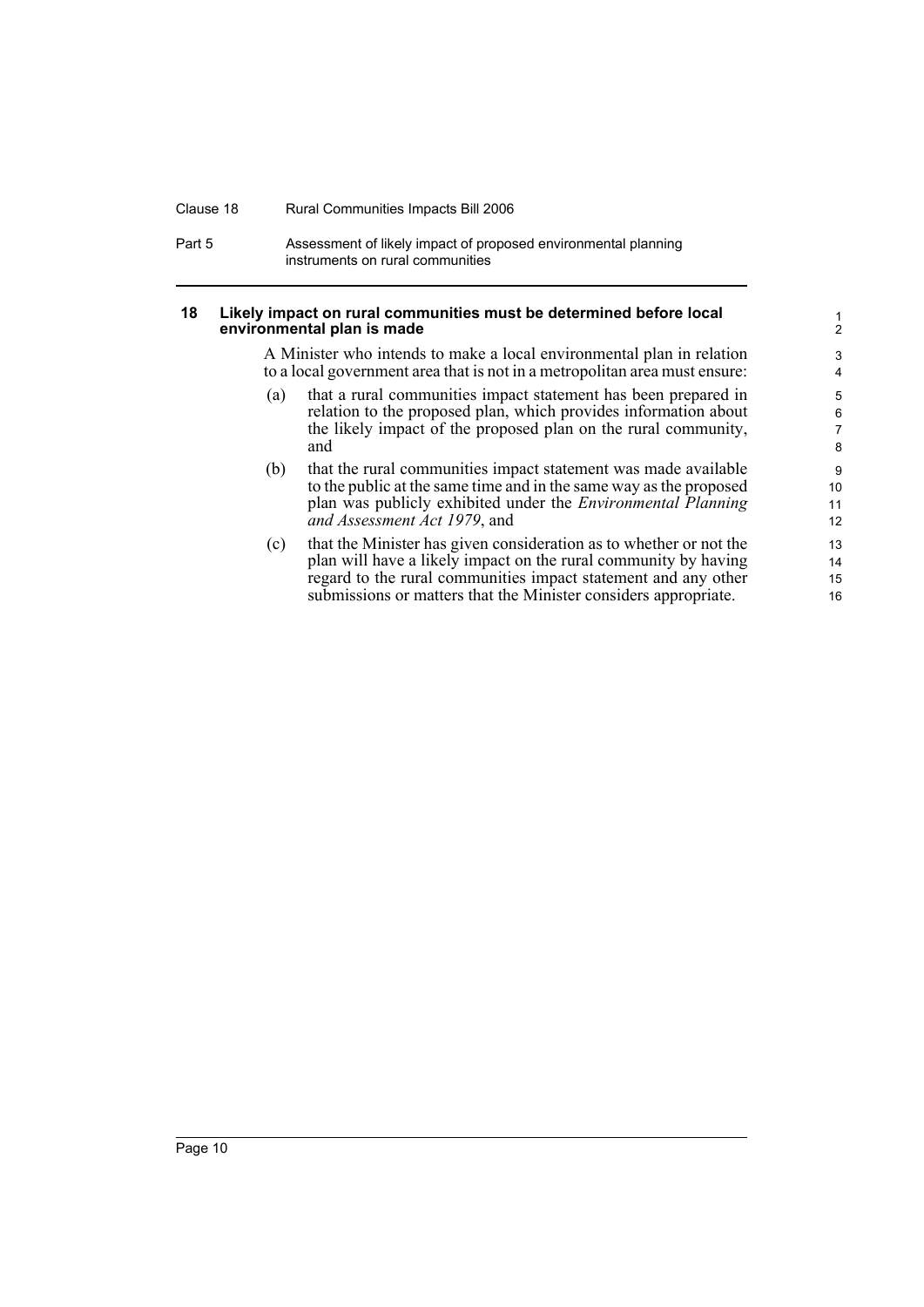#### Clause 18 Rural Communities Impacts Bill 2006

Part 5 **Assessment of likely impact of proposed environmental planning** instruments on rural communities

#### <span id="page-17-0"></span>**18 Likely impact on rural communities must be determined before local environmental plan is made**

A Minister who intends to make a local environmental plan in relation to a local government area that is not in a metropolitan area must ensure:

- (a) that a rural communities impact statement has been prepared in relation to the proposed plan, which provides information about the likely impact of the proposed plan on the rural community, and
- (b) that the rural communities impact statement was made available to the public at the same time and in the same way as the proposed plan was publicly exhibited under the *Environmental Planning and Assessment Act 1979*, and
- (c) that the Minister has given consideration as to whether or not the plan will have a likely impact on the rural community by having regard to the rural communities impact statement and any other submissions or matters that the Minister considers appropriate.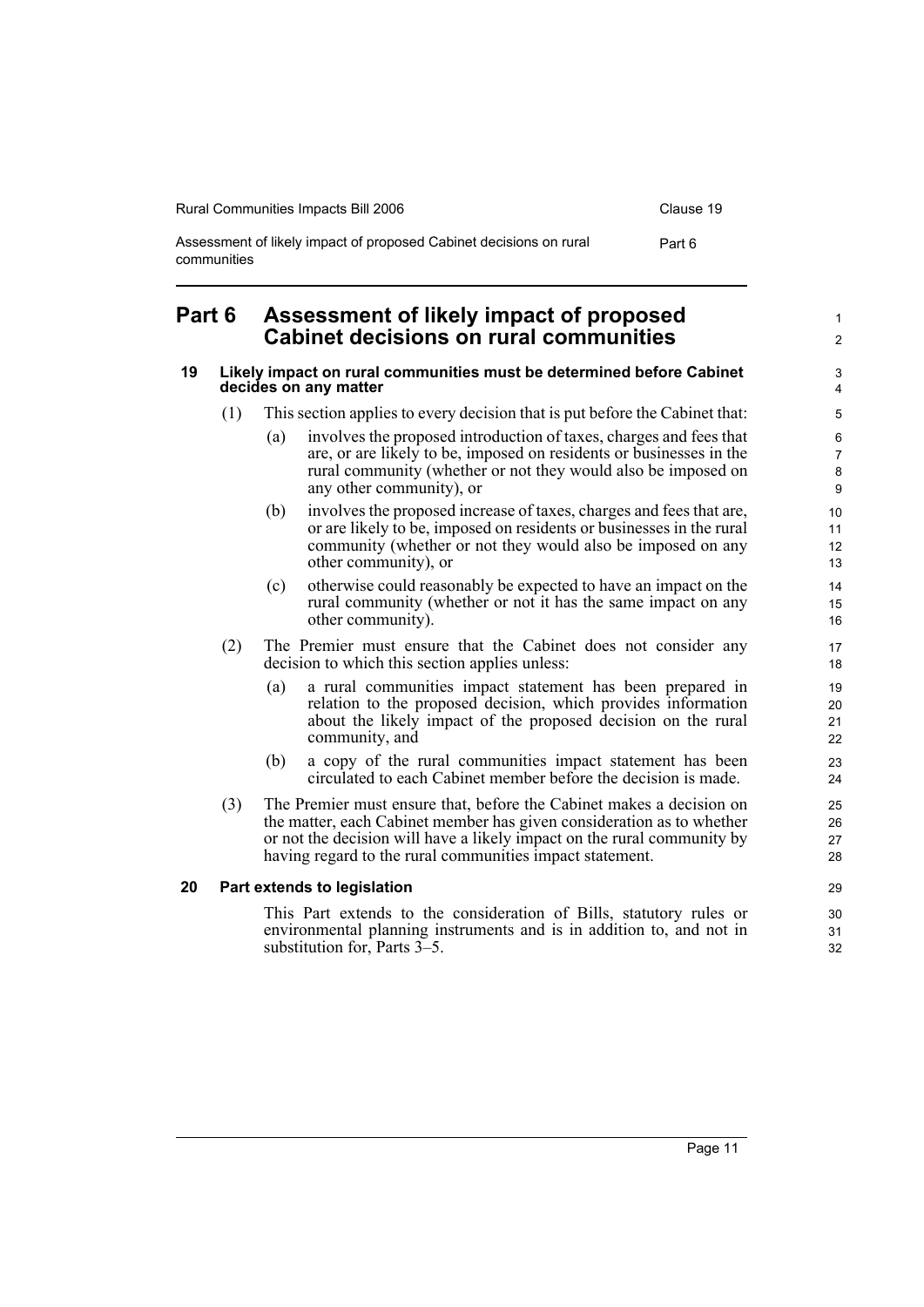| Rural Communities Impacts Bill 2006                                               | Clause 19 |
|-----------------------------------------------------------------------------------|-----------|
| Assessment of likely impact of proposed Cabinet decisions on rural<br>communities | Part 6    |

## <span id="page-18-0"></span>**Part 6 Assessment of likely impact of proposed Cabinet decisions on rural communities**

#### <span id="page-18-1"></span>**19 Likely impact on rural communities must be determined before Cabinet decides on any matter**

- (1) This section applies to every decision that is put before the Cabinet that:
	- (a) involves the proposed introduction of taxes, charges and fees that are, or are likely to be, imposed on residents or businesses in the rural community (whether or not they would also be imposed on any other community), or
	- (b) involves the proposed increase of taxes, charges and fees that are, or are likely to be, imposed on residents or businesses in the rural community (whether or not they would also be imposed on any other community), or
	- (c) otherwise could reasonably be expected to have an impact on the rural community (whether or not it has the same impact on any other community).
- (2) The Premier must ensure that the Cabinet does not consider any decision to which this section applies unless:
	- (a) a rural communities impact statement has been prepared in relation to the proposed decision, which provides information about the likely impact of the proposed decision on the rural community, and
	- (b) a copy of the rural communities impact statement has been circulated to each Cabinet member before the decision is made.
- (3) The Premier must ensure that, before the Cabinet makes a decision on the matter, each Cabinet member has given consideration as to whether or not the decision will have a likely impact on the rural community by having regard to the rural communities impact statement.

#### <span id="page-18-2"></span>**20 Part extends to legislation**

This Part extends to the consideration of Bills, statutory rules or environmental planning instruments and is in addition to, and not in substitution for, Parts 3–5.

1  $\mathfrak{p}$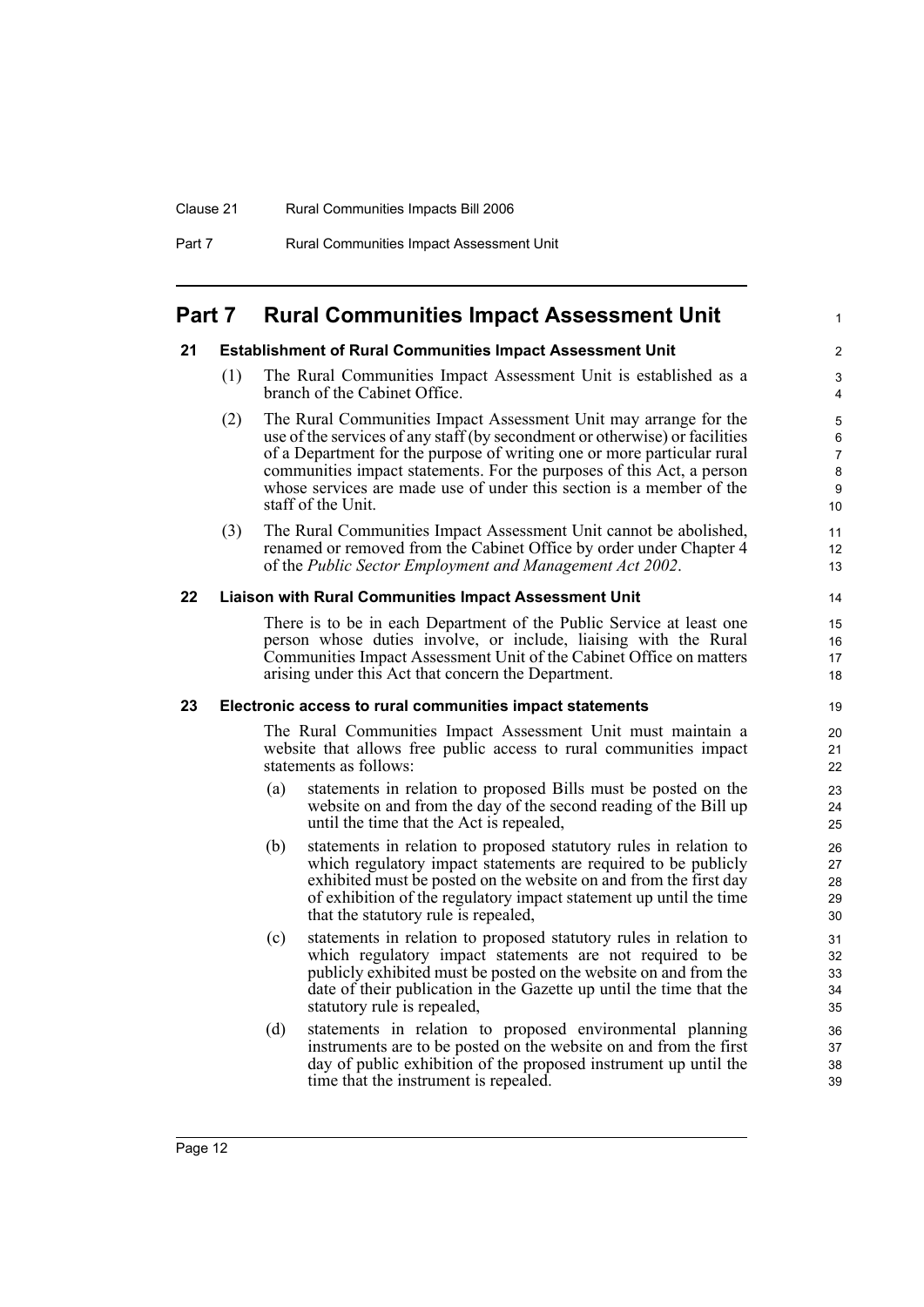### <span id="page-19-0"></span>**Part 7 Rural Communities Impact Assessment Unit**

#### <span id="page-19-1"></span>**21 Establishment of Rural Communities Impact Assessment Unit**

(1) The Rural Communities Impact Assessment Unit is established as a branch of the Cabinet Office.

1

- (2) The Rural Communities Impact Assessment Unit may arrange for the use of the services of any staff (by secondment or otherwise) or facilities of a Department for the purpose of writing one or more particular rural communities impact statements. For the purposes of this Act, a person whose services are made use of under this section is a member of the staff of the Unit.
- (3) The Rural Communities Impact Assessment Unit cannot be abolished, renamed or removed from the Cabinet Office by order under Chapter 4 of the *Public Sector Employment and Management Act 2002*.

#### <span id="page-19-2"></span>**22 Liaison with Rural Communities Impact Assessment Unit**

There is to be in each Department of the Public Service at least one person whose duties involve, or include, liaising with the Rural Communities Impact Assessment Unit of the Cabinet Office on matters arising under this Act that concern the Department.

#### <span id="page-19-3"></span>**23 Electronic access to rural communities impact statements**

The Rural Communities Impact Assessment Unit must maintain a website that allows free public access to rural communities impact statements as follows:

- (a) statements in relation to proposed Bills must be posted on the website on and from the day of the second reading of the Bill up until the time that the Act is repealed,
- (b) statements in relation to proposed statutory rules in relation to which regulatory impact statements are required to be publicly exhibited must be posted on the website on and from the first day of exhibition of the regulatory impact statement up until the time that the statutory rule is repealed,
- (c) statements in relation to proposed statutory rules in relation to which regulatory impact statements are not required to be publicly exhibited must be posted on the website on and from the date of their publication in the Gazette up until the time that the statutory rule is repealed,
- (d) statements in relation to proposed environmental planning instruments are to be posted on the website on and from the first day of public exhibition of the proposed instrument up until the time that the instrument is repealed.